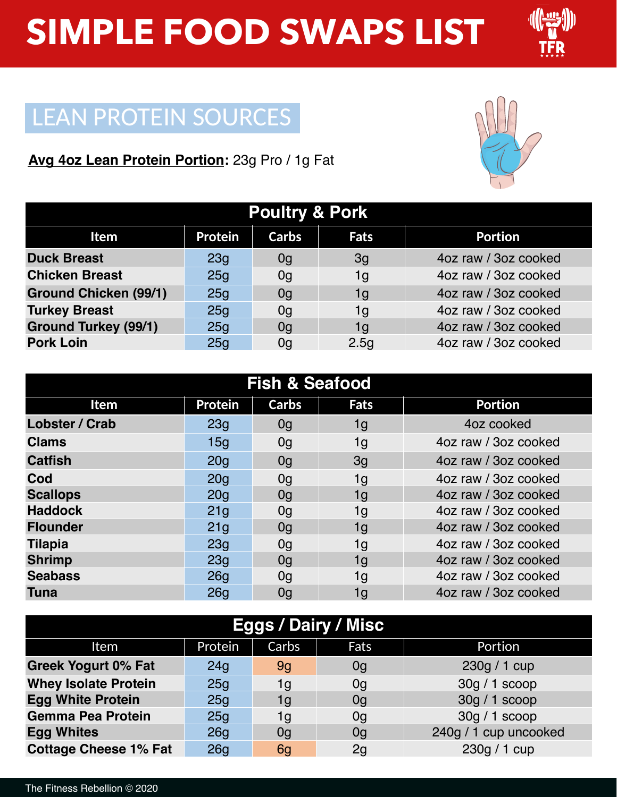

### LEAN PROTEIN SOURCES

### **Avg 4oz Lean Protein Portion:** 23g Pro / 1g Fat



| <b>Poultry &amp; Pork</b>    |                 |              |             |                      |  |  |
|------------------------------|-----------------|--------------|-------------|----------------------|--|--|
| <b>Item</b>                  | <b>Protein</b>  | <b>Carbs</b> | <b>Fats</b> | <b>Portion</b>       |  |  |
| <b>Duck Breast</b>           | 23g             | 0g           | 3g          | 4oz raw / 3oz cooked |  |  |
| <b>Chicken Breast</b>        | 25 <sub>g</sub> | 0g           | 1g          | 4oz raw / 3oz cooked |  |  |
| <b>Ground Chicken (99/1)</b> | 25g             | 0g           | 1g          | 4oz raw / 3oz cooked |  |  |
| <b>Turkey Breast</b>         | 25q             | 0q           | 1g          | 4oz raw / 3oz cooked |  |  |
| <b>Ground Turkey (99/1)</b>  | 25 <sub>g</sub> | 0q           | 1g          | 4oz raw / 3oz cooked |  |  |
| <b>Pork Loin</b>             | 25g             | 0g           | 2.5g        | 4oz raw / 3oz cooked |  |  |

| <b>Fish &amp; Seafood</b> |                 |                |             |                      |  |
|---------------------------|-----------------|----------------|-------------|----------------------|--|
| <b>Item</b>               | <b>Protein</b>  | Carbs          | <b>Fats</b> | <b>Portion</b>       |  |
| <b>Lobster / Crab</b>     | 23 <sub>q</sub> | 0g             | 1g          | 4oz cooked           |  |
| <b>Clams</b>              | 15q             | 0g             | 1g          | 4oz raw / 3oz cooked |  |
| <b>Catfish</b>            | 20q             | 0g             | 3g          | 4oz raw / 3oz cooked |  |
| Cod                       | 20q             | 0 <sub>q</sub> | 1g          | 4oz raw / 3oz cooked |  |
| <b>Scallops</b>           | 20q             | 0q             | 1g          | 4oz raw / 3oz cooked |  |
| <b>Haddock</b>            | 21 <sub>g</sub> | 0g             | 1g          | 4oz raw / 3oz cooked |  |
| <b>Flounder</b>           | 21q             | 0g             | 1g          | 4oz raw / 3oz cooked |  |
| <b>Tilapia</b>            | 23q             | 0g             | 1g          | 4oz raw / 3oz cooked |  |
| <b>Shrimp</b>             | 23q             | 0g             | 1g          | 4oz raw / 3oz cooked |  |
| <b>Seabass</b>            | 26q             | 0g             | 1g          | 4oz raw / 3oz cooked |  |
| <b>Tuna</b>               | 26 <sub>q</sub> | 0g             | 1g          | 4oz raw / 3oz cooked |  |

| <b>Eggs / Dairy / Misc</b>   |         |       |      |                       |  |  |
|------------------------------|---------|-------|------|-----------------------|--|--|
| Item                         | Protein | Carbs | Fats | Portion               |  |  |
| <b>Greek Yogurt 0% Fat</b>   | 24q     | 9q    | 0g   | 230g / 1 cup          |  |  |
| <b>Whey Isolate Protein</b>  | 25q     | 1g    | 0g   | $30q/1$ scoop         |  |  |
| <b>Egg White Protein</b>     | 25q     | 1g    | 0g   | $30q/1$ scoop         |  |  |
| <b>Gemma Pea Protein</b>     | 25g     | 1g    | 0g   | $30q/1$ scoop         |  |  |
| <b>Egg Whites</b>            | 26q     | 0g    | 0g   | 240g / 1 cup uncooked |  |  |
| <b>Cottage Cheese 1% Fat</b> | 26q     | 6q    | 2g   | 230g / 1 cup          |  |  |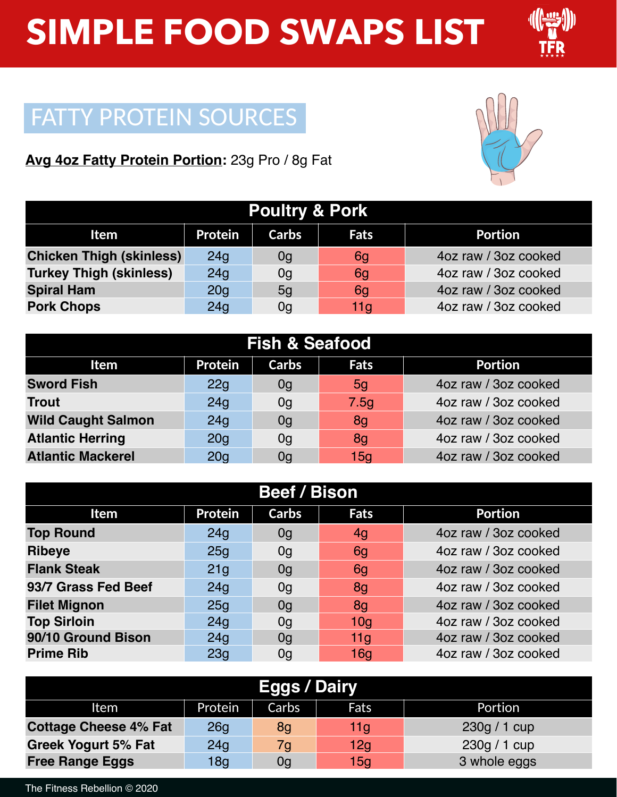

## FATTY PROTEIN SOURCES

### **Avg 4oz Fatty Protein Portion:** 23g Pro / 8g Fat



| <b>Poultry &amp; Pork</b>       |                 |       |                 |                      |  |
|---------------------------------|-----------------|-------|-----------------|----------------------|--|
| Item                            | <b>Protein</b>  | Carbs | <b>Fats</b>     | <b>Portion</b>       |  |
| <b>Chicken Thigh (skinless)</b> | 24 <sub>q</sub> | 0g    | 6g              | 4oz raw / 3oz cooked |  |
| <b>Turkey Thigh (skinless)</b>  | 24g             | 0g    | 6g              | 4oz raw / 3oz cooked |  |
| <b>Spiral Ham</b>               | 20 <sub>q</sub> | 5g    | 6g              | 4oz raw / 3oz cooked |  |
| <b>Pork Chops</b>               | 24g             | 0g    | 11 <sub>q</sub> | 4oz raw / 3oz cooked |  |

| <b>Fish &amp; Seafood</b> |                 |              |             |                      |  |  |
|---------------------------|-----------------|--------------|-------------|----------------------|--|--|
| <b>Item</b>               | <b>Protein</b>  | <b>Carbs</b> | <b>Fats</b> | <b>Portion</b>       |  |  |
| <b>Sword Fish</b>         | 22g             | 0g           | 5g          | 4oz raw / 3oz cooked |  |  |
| <b>Trout</b>              | 24q             | 0g           | 7.5g        | 4oz raw / 3oz cooked |  |  |
| <b>Wild Caught Salmon</b> | 24g             | 0g           | 8g          | 4oz raw / 3oz cooked |  |  |
| <b>Atlantic Herring</b>   | 20 <sub>q</sub> | 0g           | 8g          | 4oz raw / 3oz cooked |  |  |
| <b>Atlantic Mackerel</b>  | 20q             | 0q           | 15q         | 4oz raw / 3oz cooked |  |  |

| <b>Beef / Bison</b> |                 |              |                 |                      |  |  |
|---------------------|-----------------|--------------|-----------------|----------------------|--|--|
| Item                | <b>Protein</b>  | <b>Carbs</b> | <b>Fats</b>     | <b>Portion</b>       |  |  |
| <b>Top Round</b>    | 24q             | 0g           | 4g              | 4oz raw / 3oz cooked |  |  |
| <b>Ribeye</b>       | 25g             | 0g           | 6g              | 4oz raw / 3oz cooked |  |  |
| <b>Flank Steak</b>  | 21 <sub>q</sub> | 0g           | 6g              | 4oz raw / 3oz cooked |  |  |
| 93/7 Grass Fed Beef | 24q             | 0g           | 8g              | 4oz raw / 3oz cooked |  |  |
| <b>Filet Mignon</b> | 25q             | 0q           | 8q              | 4oz raw / 3oz cooked |  |  |
| <b>Top Sirloin</b>  | 24q             | 0q           | 10q             | 4oz raw / 3oz cooked |  |  |
| 90/10 Ground Bison  | 24q             | 0q           | 11 <sub>q</sub> | 4oz raw / 3oz cooked |  |  |
| <b>Prime Rib</b>    | 23 <sub>q</sub> | 0g           | 16q             | 4oz raw / 3oz cooked |  |  |

| <b>Eggs / Dairy</b>          |                 |       |                 |              |
|------------------------------|-----------------|-------|-----------------|--------------|
| Item                         | Protein         | Carbs | Fats            | Portion      |
| <b>Cottage Cheese 4% Fat</b> | 26q             | 8g    | 11g             | 230g / 1 cup |
| <b>Greek Yogurt 5% Fat</b>   | 24 <sub>q</sub> | 7g    | 12 <sub>q</sub> | 230g / 1 cup |
| <b>Free Range Eggs</b>       | 18 <sub>q</sub> | 0g    | 15 <sub>q</sub> | 3 whole eggs |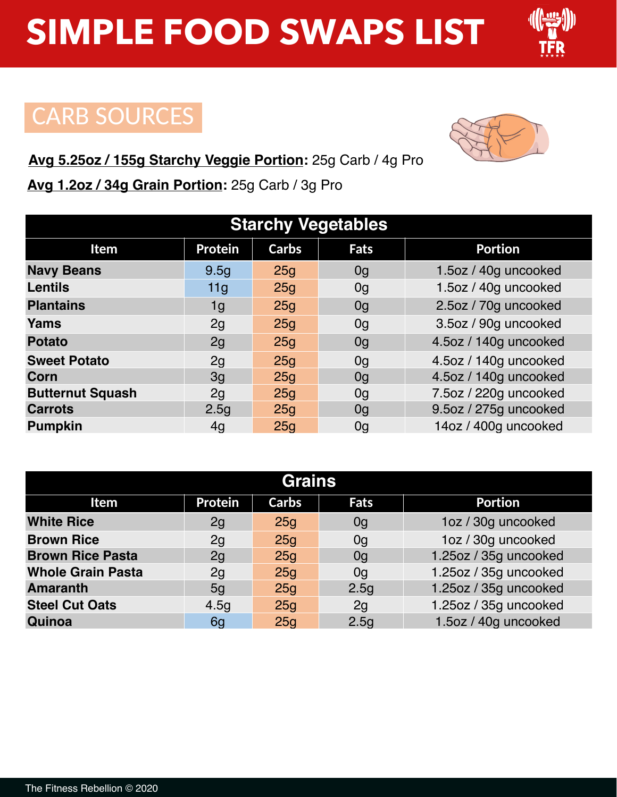### CARB SOURCES

#### **Avg 5.25oz / 155g Starchy Veggie Portion:** 25g Carb / 4g Pro

**Avg 1.2oz / 34g Grain Portion:** 25g Carb / 3g Pro

| <b>Starchy Vegetables</b> |                  |                 |                |                       |  |  |
|---------------------------|------------------|-----------------|----------------|-----------------------|--|--|
| Item                      | <b>Protein</b>   | <b>Carbs</b>    | <b>Fats</b>    | <b>Portion</b>        |  |  |
| <b>Navy Beans</b>         | 9.5 <sub>g</sub> | 25g             | 0 <sub>q</sub> | 1.5oz / 40g uncooked  |  |  |
| <b>Lentils</b>            | 11g              | 25g             | 0 <sub>g</sub> | 1.5oz / 40g uncooked  |  |  |
| <b>Plantains</b>          | 1g               | 25g             | 0 <sub>g</sub> | 2.5oz / 70g uncooked  |  |  |
| Yams                      | 2g               | 25g             | 0g             | 3.5oz / 90g uncooked  |  |  |
| <b>Potato</b>             | 2g               | 25g             | 0 <sub>q</sub> | 4.5oz / 140g uncooked |  |  |
| <b>Sweet Potato</b>       | 2g               | 25g             | 0q             | 4.5oz / 140g uncooked |  |  |
| Corn                      | 3q               | 25 <sub>g</sub> | 0 <sub>q</sub> | 4.5oz / 140g uncooked |  |  |
| <b>Butternut Squash</b>   | 2g               | 25 <sub>g</sub> | 0g             | 7.5oz / 220g uncooked |  |  |
| <b>Carrots</b>            | 2.5 <sub>g</sub> | 25g             | 0g             | 9.5oz / 275g uncooked |  |  |
| <b>Pumpkin</b>            | 4q               | 25q             | 0q             | 14oz / 400q uncooked  |  |  |

| <b>Grains</b>            |                  |                 |                  |                       |  |
|--------------------------|------------------|-----------------|------------------|-----------------------|--|
| Item                     | <b>Protein</b>   | <b>Carbs</b>    | Fats             | <b>Portion</b>        |  |
| <b>White Rice</b>        | 2g               | 25 <sub>q</sub> | 0g               | 1oz / 30g uncooked    |  |
| <b>Brown Rice</b>        | 2g               | 25q             | 0 <sub>q</sub>   | 1oz / 30g uncooked    |  |
| <b>Brown Rice Pasta</b>  | 2g               | 25 <sub>q</sub> | 0g               | 1.25oz / 35g uncooked |  |
| <b>Whole Grain Pasta</b> | 2g               | 25 <sub>q</sub> | 0g               | 1.25oz / 35g uncooked |  |
| <b>Amaranth</b>          | 5 <sub>q</sub>   | 25 <sub>q</sub> | 2.5g             | 1.25oz / 35g uncooked |  |
| <b>Steel Cut Oats</b>    | 4.5 <sub>q</sub> | 25g             | 2q               | 1.25oz / 35g uncooked |  |
| Quinoa                   | 6g               | 25 <sub>g</sub> | 2.5 <sub>g</sub> | 1.5oz / 40g uncooked  |  |

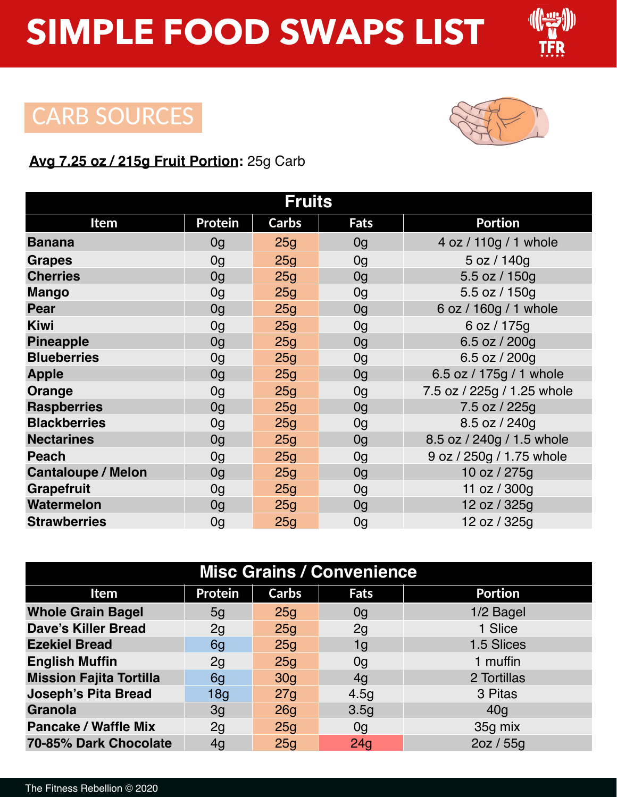

### CARB SOURCES



#### **Avg 7.25 oz / 215g Fruit Portion:** 25g Carb

| <b>Fruits</b>             |                |                 |                |                            |  |  |
|---------------------------|----------------|-----------------|----------------|----------------------------|--|--|
| <b>Item</b>               | <b>Protein</b> | <b>Carbs</b>    | Fats           | <b>Portion</b>             |  |  |
| <b>Banana</b>             | 0g             | 25g             | 0 <sub>g</sub> | 4 oz / 110g / 1 whole      |  |  |
| <b>Grapes</b>             | 0 <sub>g</sub> | 25g             | 0 <sub>g</sub> | 5 oz / 140g                |  |  |
| <b>Cherries</b>           | 0 <sub>g</sub> | 25g             | 0g             | 5.5 oz / 150g              |  |  |
| <b>Mango</b>              | 0 <sub>g</sub> | 25g             | 0 <sub>q</sub> | 5.5 oz / 150g              |  |  |
| <b>Pear</b>               | 0 <sub>g</sub> | 25g             | 0 <sub>g</sub> | 6 oz / 160g / 1 whole      |  |  |
| <b>Kiwi</b>               | 0 <sub>g</sub> | 25 <sub>q</sub> | 0g             | 6 oz / 175g                |  |  |
| <b>Pineapple</b>          | 0 <sub>g</sub> | 25g             | 0g             | 6.5 oz / 200g              |  |  |
| <b>Blueberries</b>        | 0 <sub>g</sub> | 25g             | 0 <sub>g</sub> | 6.5 oz / 200g              |  |  |
| <b>Apple</b>              | 0 <sub>g</sub> | 25g             | 0 <sub>g</sub> | 6.5 oz / 175g / 1 whole    |  |  |
| Orange                    | 0 <sub>g</sub> | 25g             | 0 <sub>g</sub> | 7.5 oz / 225g / 1.25 whole |  |  |
| <b>Raspberries</b>        | 0 <sub>q</sub> | 25 <sub>q</sub> | 0 <sub>g</sub> | 7.5 oz / 225g              |  |  |
| <b>Blackberries</b>       | 0g             | 25g             | 0g             | 8.5 oz / 240g              |  |  |
| <b>Nectarines</b>         | 0 <sub>g</sub> | 25g             | 0 <sub>g</sub> | 8.5 oz / 240g / 1.5 whole  |  |  |
| <b>Peach</b>              | 0 <sub>g</sub> | 25g             | 0 <sub>g</sub> | 9 oz / 250g / 1.75 whole   |  |  |
| <b>Cantaloupe / Melon</b> | 0 <sub>q</sub> | 25g             | 0 <sub>g</sub> | 10 oz / 275g               |  |  |
| <b>Grapefruit</b>         | 0 <sub>g</sub> | 25g             | 0 <sub>g</sub> | 11 oz / 300g               |  |  |
| <b>Watermelon</b>         | 0 <sub>g</sub> | 25g             | 0g             | 12 oz / 325g               |  |  |
| <b>Strawberries</b>       | 0 <sub>g</sub> | 25g             | 0g             | 12 oz / 325g               |  |  |

| <b>Misc Grains / Convenience</b> |                 |                 |                 |                |  |
|----------------------------------|-----------------|-----------------|-----------------|----------------|--|
| Item                             | <b>Protein</b>  | <b>Carbs</b>    | <b>Fats</b>     | <b>Portion</b> |  |
| <b>Whole Grain Bagel</b>         | 5 <sub>q</sub>  | 25q             | 0g              | 1/2 Bagel      |  |
| <b>Dave's Killer Bread</b>       | 2g              | 25q             | 2g              | 1 Slice        |  |
| <b>Ezekiel Bread</b>             | 6g              | 25q             | 1g              | 1.5 Slices     |  |
| <b>English Muffin</b>            | 2g              | 25q             | 0g              | 1 muffin       |  |
| <b>Mission Fajita Tortilla</b>   | 6g              | 30 <sub>q</sub> | 4q              | 2 Tortillas    |  |
| <b>Joseph's Pita Bread</b>       | 18 <sub>q</sub> | 27g             | 4.5g            | 3 Pitas        |  |
| <b>Granola</b>                   | 3 <sub>q</sub>  | 26g             | 3.5g            | 40q            |  |
| <b>Pancake / Waffle Mix</b>      | 2g              | 25q             | 0g              | 35g mix        |  |
| 70-85% Dark Chocolate            | 4g              | 25 <sub>g</sub> | 24 <sub>q</sub> | 2oz / 55g      |  |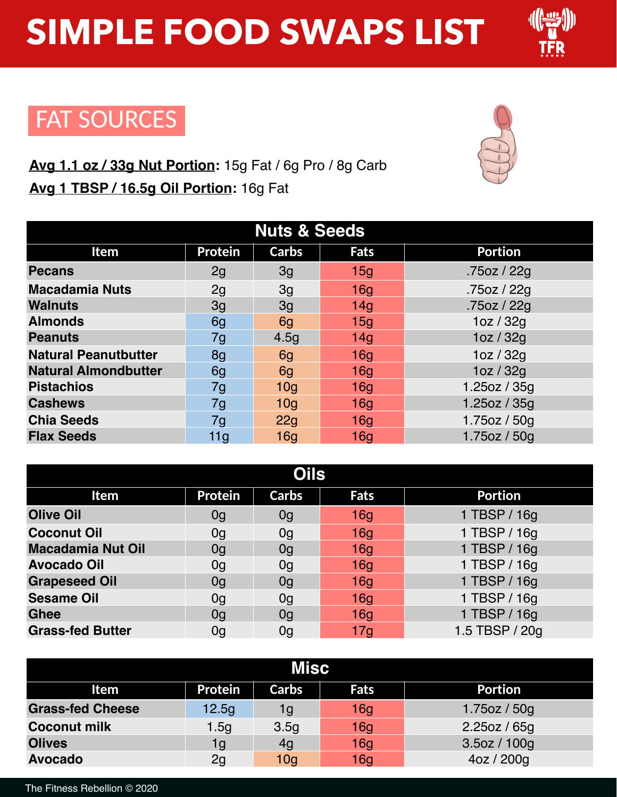

### FAT SOURCES

### **Avg 1.1 oz / 33g Nut Portion:** 15g Fat / 6g Pro / 8g Carb **Avg 1 TBSP / 16.5g Oil Portion:** 16g Fat



| <b>Nuts &amp; Seeds</b>     |                |                 |      |                |  |
|-----------------------------|----------------|-----------------|------|----------------|--|
| Item                        | <b>Protein</b> | <b>Carbs</b>    | Fats | <b>Portion</b> |  |
| <b>Pecans</b>               | 2g             | 3g              | 15q  | .75oz / 22g    |  |
| <b>Macadamia Nuts</b>       | 2g             | 3q              | 16q  | .75oz / 22g    |  |
| <b>Walnuts</b>              | 3g             | 3 <sub>q</sub>  | 14q  | .75oz / 22g    |  |
| <b>Almonds</b>              | 6g             | 6g              | 15q  | 1oz / 32g      |  |
| <b>Peanuts</b>              | 7g             | 4.5g            | 14q  | 1oz / 32g      |  |
| <b>Natural Peanutbutter</b> | 8g             | 6g              | 16q  | 1oz / 32g      |  |
| <b>Natural Almondbutter</b> | 6g             | 6g              | 16q  | 1oz / 32g      |  |
| <b>Pistachios</b>           | 7g             | 10 <sub>q</sub> | 16q  | 1.25oz / $35g$ |  |
| <b>Cashews</b>              | 7g             | 10 <sub>q</sub> | 16q  | 1.25oz / 35g   |  |
| <b>Chia Seeds</b>           | 7g             | 22g             | 16q  | 1.75oz / 50g   |  |
| <b>Flax Seeds</b>           | 11g            | 16 <sub>q</sub> | 16q  | 1.75oz / 50g   |  |

| <b>Oils</b>              |                |                |                 |                |  |
|--------------------------|----------------|----------------|-----------------|----------------|--|
| Item                     | <b>Protein</b> | <b>Carbs</b>   | Fats            | <b>Portion</b> |  |
| <b>Olive Oil</b>         | 0g             | 0g             | 16q             | 1 TBSP / 16g   |  |
| <b>Coconut Oil</b>       | 0g             | 0g             | 16q             | 1 TBSP / 16g   |  |
| <b>Macadamia Nut Oil</b> | 0g             | 0g             | 16q             | 1 TBSP / 16g   |  |
| <b>Avocado Oil</b>       | 0g             | 0g             | 16q             | 1 TBSP / 16g   |  |
| <b>Grapeseed Oil</b>     | 0g             | 0 <sub>q</sub> | 16q             | 1 TBSP / 16g   |  |
| <b>Sesame Oil</b>        | 0g             | 0g             | 16q             | 1 TBSP / 16g   |  |
| <b>Ghee</b>              | 0g             | 0g             | 16q             | 1 TBSP / 16g   |  |
| <b>Grass-fed Butter</b>  | 0g             | 0g             | 17 <sub>q</sub> | 1.5 TBSP / 20g |  |

| Misc                    |                |                 |                 |                |  |
|-------------------------|----------------|-----------------|-----------------|----------------|--|
| Item                    | <b>Protein</b> | <b>Carbs</b>    | <b>Fats</b>     | <b>Portion</b> |  |
| <b>Grass-fed Cheese</b> | 12.5g          | 1g              | 16 <sub>g</sub> | 1.75oz / 50g   |  |
| <b>Coconut milk</b>     | 1.5q           | 3.5q            | 16 <sub>q</sub> | 2.25oz / 65g   |  |
| <b>Olives</b>           | 1g             | 4g              | 16 <sub>q</sub> | 3.5oz / 100g   |  |
| <b>Avocado</b>          | 2g             | 10 <sub>q</sub> | 16 <sub>q</sub> | 4oz / 200g     |  |

The Fitness Rebellion © 2020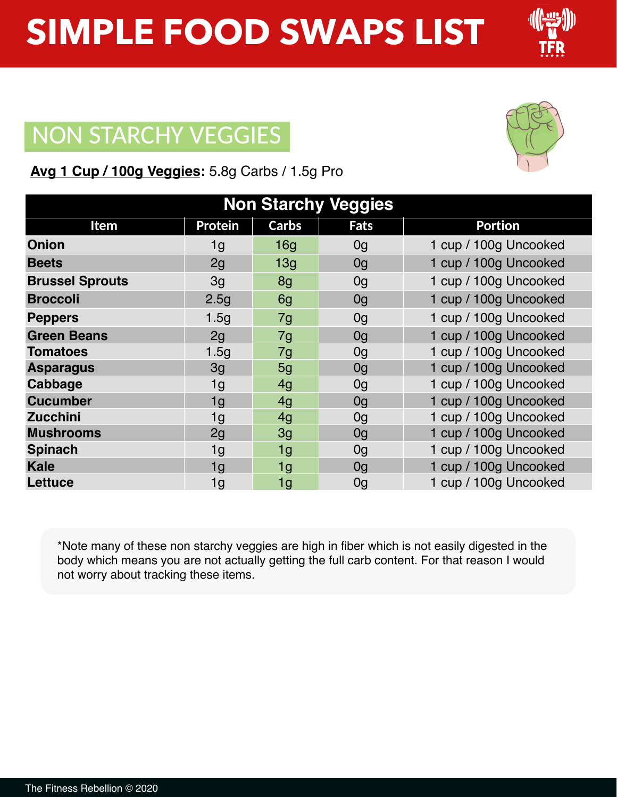## NON STARCHY VEGGIES

|  |  | Avg 1 Cup / 100g Veggies: 5.8g Carbs / 1.5g Pro |
|--|--|-------------------------------------------------|
|  |  |                                                 |

| <b>Non Starchy Veggies</b> |                |              |                |                       |  |
|----------------------------|----------------|--------------|----------------|-----------------------|--|
| <b>Item</b>                | <b>Protein</b> | <b>Carbs</b> | <b>Fats</b>    | <b>Portion</b>        |  |
| <b>Onion</b>               | 1g             | 16q          | 0 <sub>g</sub> | 1 cup / 100g Uncooked |  |
| <b>Beets</b>               | 2g             | 13g          | 0g             | 1 cup / 100g Uncooked |  |
| <b>Brussel Sprouts</b>     | 3g             | 8g           | 0 <sub>g</sub> | 1 cup / 100g Uncooked |  |
| <b>Broccoli</b>            | 2.5g           | 6g           | 0 <sub>g</sub> | 1 cup / 100g Uncooked |  |
| <b>Peppers</b>             | 1.5g           | 7g           | 0 <sub>g</sub> | 1 cup / 100g Uncooked |  |
| <b>Green Beans</b>         | 2g             | 7g           | 0 <sub>g</sub> | 1 cup / 100g Uncooked |  |
| <b>Tomatoes</b>            | 1.5q           | 7g           | 0 <sub>g</sub> | 1 cup / 100g Uncooked |  |
| <b>Asparagus</b>           | 3g             | 5g           | 0 <sub>g</sub> | 1 cup / 100g Uncooked |  |
| Cabbage                    | 1 <sub>g</sub> | 4g           | 0 <sub>g</sub> | 1 cup / 100g Uncooked |  |
| <b>Cucumber</b>            | 1g             | 4q           | 0 <sub>q</sub> | 1 cup / 100g Uncooked |  |
| <b>Zucchini</b>            | 1g             | 4g           | 0 <sub>g</sub> | 1 cup / 100g Uncooked |  |
| <b>Mushrooms</b>           | 2g             | 3g           | 0 <sub>q</sub> | 1 cup / 100g Uncooked |  |
| <b>Spinach</b>             | 1g             | 1g           | 0 <sub>g</sub> | 1 cup / 100g Uncooked |  |
| <b>Kale</b>                | 1g             | 1g           | 0 <sub>g</sub> | 1 cup / 100g Uncooked |  |
| Lettuce                    | 1g             | 1g           | 0 <sub>g</sub> | 1 cup / 100g Uncooked |  |

\*Note many of these non starchy veggies are high in fiber which is not easily digested in the body which means you are not actually getting the full carb content. For that reason I would not worry about tracking these items.